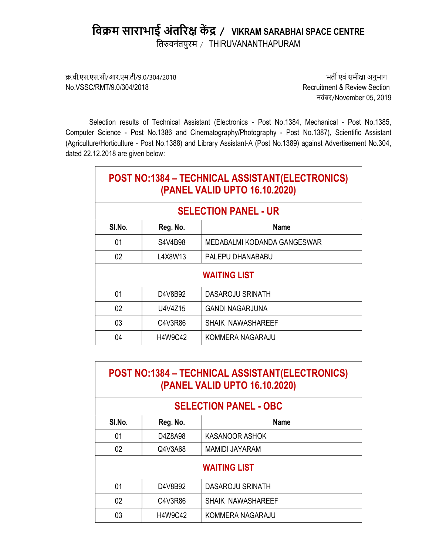# विक्रम साराभाई अंतरिक्ष केंद्र / VIKRAM SARABHAI SPACE CENTRE

तिरुवनंतपुरम / THIRUVANANTHAPURAM

क्र.वी.एस.एस.सी/आर.एम.टी/9.0/304/2018 भित्र कर कर समीक्षा अनुभाग अनुभाग अनुभाग अनुभाग अनुभाग अनुभाग अनुभाग अनुभाग No.VSSC/RMT/9.0/304/2018 Recruitment & Review Section

 $\Gamma$ 

नवंबर/November 05, 2019

Selection results of Technical Assistant (Electronics - Post No.1384, Mechanical - Post No.1385, Computer Science - Post No.1386 and Cinematography/Photography - Post No.1387), Scientific Assistant (Agriculture/Horticulture - Post No.1388) and Library Assistant-A (Post No.1389) against Advertisement No.304, dated 22.12.2018 are given below:

| POST NO:1384 - TECHNICAL ASSISTANT(ELECTRONICS)<br>(PANEL VALID UPTO 16.10.2020) |          |                             |
|----------------------------------------------------------------------------------|----------|-----------------------------|
| <b>SELECTION PANEL - UR</b>                                                      |          |                             |
| SI.No.                                                                           | Reg. No. | <b>Name</b>                 |
| 01                                                                               | S4V4B98  | MEDABALMI KODANDA GANGESWAR |
| 02                                                                               | L4X8W13  | PALEPU DHANABABU            |
| <b>WAITING LIST</b>                                                              |          |                             |
| 01                                                                               | D4V8B92  | DASAROJU SRINATH            |
| 02                                                                               | U4V4Z15  | <b>GANDI NAGARJUNA</b>      |
| 03                                                                               | C4V3R86  | SHAIK NAWASHAREEF           |
| 04                                                                               | H4W9C42  | KOMMERA NAGARAJU            |

| POST NO:1384 - TECHNICAL ASSISTANT(ELECTRONICS) |
|-------------------------------------------------|
| (PANEL VALID UPTO 16.10.2020)                   |

| <b>SELECTION PANEL - OBC</b> |                |                          |
|------------------------------|----------------|--------------------------|
| SI.No.                       | Reg. No.       | <b>Name</b>              |
| 01                           | D4Z8A98        | KASANOOR ASHOK           |
| 02                           | Q4V3A68        | <b>MAMIDI JAYARAM</b>    |
| <b>WAITING LIST</b>          |                |                          |
| 01                           | D4V8B92        | <b>DASAROJU SRINATH</b>  |
| 02                           | C4V3R86        | <b>SHAIK NAWASHAREEF</b> |
| 03                           | <b>H4W9C42</b> | KOMMERA NAGARAJU         |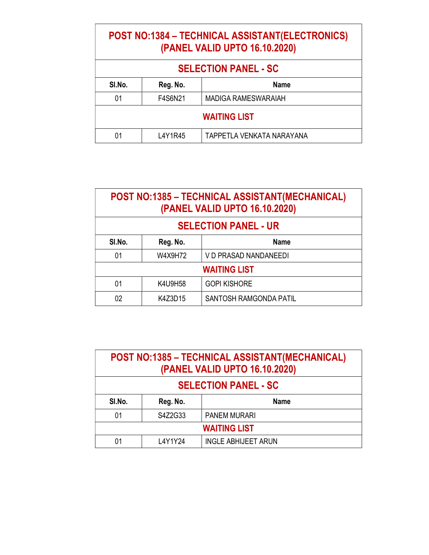### POST NO:1384 – TECHNICAL ASSISTANT(ELECTRONICS) (PANEL VALID UPTO 16.10.2020)

| <b>SELECTION PANEL - SC</b>       |         |                            |
|-----------------------------------|---------|----------------------------|
| SI.No.<br>Reg. No.<br><b>Name</b> |         |                            |
| 01                                | F4S6N21 | <b>MADIGA RAMESWARAIAH</b> |
| <b>WAITING LIST</b>               |         |                            |
| 01                                | L4Y1R45 | TAPPETLA VENKATA NARAYANA  |

## POST NO:1385 – TECHNICAL ASSISTANT(MECHANICAL) (PANEL VALID UPTO 16.10.2020)

| <b>SELECTION PANEL - UR</b>       |         |                        |  |
|-----------------------------------|---------|------------------------|--|
| SI.No.<br><b>Name</b><br>Reg. No. |         |                        |  |
| 01                                | W4X9H72 | V D PRASAD NANDANEEDI  |  |
| <b>WAITING LIST</b>               |         |                        |  |
| 01                                | K4U9H58 | <b>GOPI KISHORE</b>    |  |
| 02                                | K4Z3D15 | SANTOSH RAMGONDA PATIL |  |

| POST NO:1385 - TECHNICAL ASSISTANT(MECHANICAL)<br>(PANEL VALID UPTO 16.10.2020) |                         |                            |  |  |
|---------------------------------------------------------------------------------|-------------------------|----------------------------|--|--|
| <b>SELECTION PANEL - SC</b>                                                     |                         |                            |  |  |
| SI.No.                                                                          | Reg. No.<br><b>Name</b> |                            |  |  |
| 01                                                                              | S4Z2G33                 | <b>PANEM MURARI</b>        |  |  |
| <b>WAITING LIST</b>                                                             |                         |                            |  |  |
| 01                                                                              | L4Y1Y24                 | <b>INGLE ABHIJEET ARUN</b> |  |  |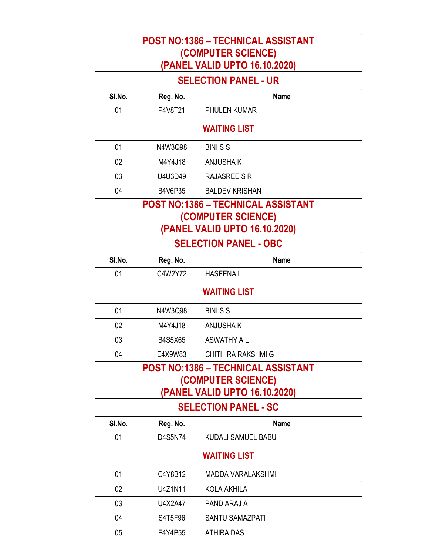| <b>POST NO:1386 - TECHNICAL ASSISTANT</b><br>(COMPUTER SCIENCE)<br>(PANEL VALID UPTO 16.10.2020)                                |                                                                                           |                              |  |  |
|---------------------------------------------------------------------------------------------------------------------------------|-------------------------------------------------------------------------------------------|------------------------------|--|--|
|                                                                                                                                 |                                                                                           | <b>SELECTION PANEL - UR</b>  |  |  |
| SI.No.                                                                                                                          | Reg. No.                                                                                  | <b>Name</b>                  |  |  |
| 01                                                                                                                              | P4V8T21                                                                                   | <b>PHULEN KUMAR</b>          |  |  |
|                                                                                                                                 |                                                                                           | <b>WAITING LIST</b>          |  |  |
| 01                                                                                                                              | N4W3Q98                                                                                   | <b>BINISS</b>                |  |  |
| 02                                                                                                                              | M4Y4J18                                                                                   | <b>ANJUSHAK</b>              |  |  |
| 03                                                                                                                              | U4U3D49                                                                                   | <b>RAJASREE S R</b>          |  |  |
| 04                                                                                                                              | B4V6P35                                                                                   | <b>BALDEV KRISHAN</b>        |  |  |
|                                                                                                                                 | POST NO:1386 – TECHNICAL ASSISTANT<br>(COMPUTER SCIENCE)<br>(PANEL VALID UPTO 16.10.2020) |                              |  |  |
|                                                                                                                                 |                                                                                           | <b>SELECTION PANEL - OBC</b> |  |  |
| SI.No.                                                                                                                          | Reg. No.                                                                                  | <b>Name</b>                  |  |  |
| 01                                                                                                                              | C4W2Y72                                                                                   | <b>HASEENAL</b>              |  |  |
|                                                                                                                                 |                                                                                           | <b>WAITING LIST</b>          |  |  |
| 01                                                                                                                              | N4W3Q98                                                                                   | <b>BINISS</b>                |  |  |
| 02                                                                                                                              | M4Y4J18                                                                                   | <b>ANJUSHAK</b>              |  |  |
| 03                                                                                                                              | <b>B4S5X65</b>                                                                            | <b>ASWATHY A L</b>           |  |  |
| 04                                                                                                                              | E4X9W83                                                                                   | <b>CHITHIRA RAKSHMI G</b>    |  |  |
| <b>POST NO:1386 - TECHNICAL ASSISTANT</b><br>(COMPUTER SCIENCE)<br>(PANEL VALID UPTO 16.10.2020)<br><b>SELECTION PANEL - SC</b> |                                                                                           |                              |  |  |
| SI.No.                                                                                                                          | Reg. No.                                                                                  | <b>Name</b>                  |  |  |
| 01                                                                                                                              | D4S5N74                                                                                   | KUDALI SAMUEL BABU           |  |  |
| <b>WAITING LIST</b>                                                                                                             |                                                                                           |                              |  |  |
| 01                                                                                                                              | C4Y8B12                                                                                   | <b>MADDA VARALAKSHMI</b>     |  |  |
| $02\,$                                                                                                                          | U4Z1N11                                                                                   | <b>KOLA AKHILA</b>           |  |  |
| 03                                                                                                                              | U4X2A47                                                                                   | PANDIARAJ A                  |  |  |
| 04                                                                                                                              | S4T5F96                                                                                   | <b>SANTU SAMAZPATI</b>       |  |  |
| 05                                                                                                                              | E4Y4P55                                                                                   | <b>ATHIRA DAS</b>            |  |  |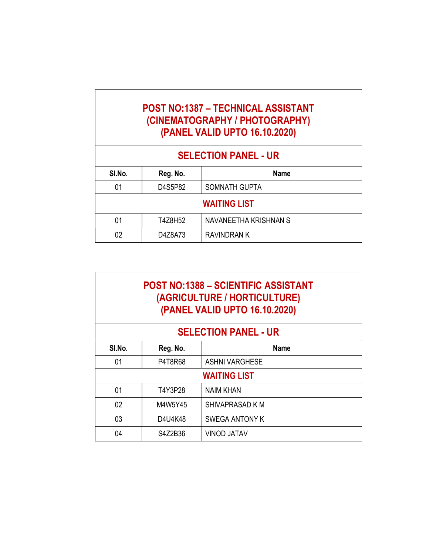#### POST NO:1387 – TECHNICAL ASSISTANT (CINEMATOGRAPHY / PHOTOGRAPHY) (PANEL VALID UPTO 16.10.2020)

# SELECTION PANEL - UR

| SI.No.              | Reg. No. | <b>Name</b>           |
|---------------------|----------|-----------------------|
| 01                  | D4S5P82  | SOMNATH GUPTA         |
| <b>WAITING LIST</b> |          |                       |
| 01                  | T4Z8H52  | NAVANEETHA KRISHNAN S |
| 02                  | D4Z8A73  | RAVINDRAN K           |

#### POST NO:1388 – SCIENTIFIC ASSISTANT (AGRICULTURE / HORTICULTURE) (PANEL VALID UPTO 16.10.2020)

#### SELECTION PANEL - UR

| SI.No.              | Reg. No. | <b>Name</b>           |
|---------------------|----------|-----------------------|
| 01                  | P4T8R68  | <b>ASHNI VARGHESE</b> |
| <b>WAITING LIST</b> |          |                       |
| 01                  | T4Y3P28  | <b>NAIM KHAN</b>      |
| 02                  | M4W5Y45  | SHIVAPRASAD K M       |
| 03                  | D4U4K48  | <b>SWEGA ANTONY K</b> |
| 04                  | S4Z2B36  | <b>VINOD JATAV</b>    |